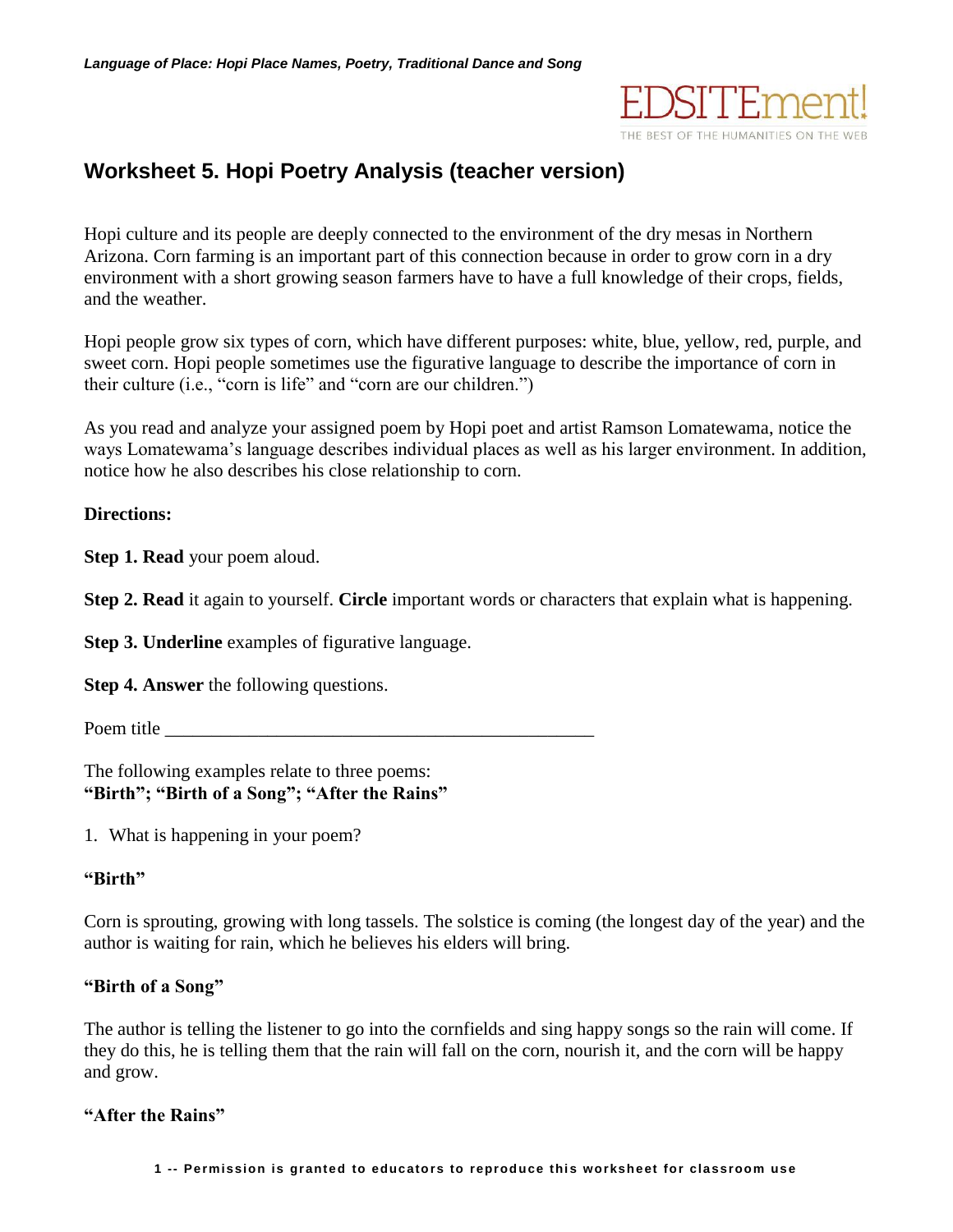

# **Worksheet 5. Hopi Poetry Analysis (teacher version)**

Hopi culture and its people are deeply connected to the environment of the dry mesas in Northern Arizona. Corn farming is an important part of this connection because in order to grow corn in a dry environment with a short growing season farmers have to have a full knowledge of their crops, fields, and the weather.

Hopi people grow six types of corn, which have different purposes: white, blue, yellow, red, purple, and sweet corn. Hopi people sometimes use the figurative language to describe the importance of corn in their culture (i.e., "corn is life" and "corn are our children.")

As you read and analyze your assigned poem by Hopi poet and artist Ramson Lomatewama, notice the ways Lomatewama's language describes individual places as well as his larger environment. In addition, notice how he also describes his close relationship to corn.

## **Directions:**

**Step 1. Read** your poem aloud.

**Step 2. Read** it again to yourself. **Circle** important words or characters that explain what is happening.

**Step 3. Underline** examples of figurative language.

**Step 4. Answer** the following questions.

Poem title

The following examples relate to three poems: **"Birth"; "Birth of a Song"; "After the Rains"**

1. What is happening in your poem?

## **"Birth"**

Corn is sprouting, growing with long tassels. The solstice is coming (the longest day of the year) and the author is waiting for rain, which he believes his elders will bring.

## **"Birth of a Song"**

The author is telling the listener to go into the cornfields and sing happy songs so the rain will come. If they do this, he is telling them that the rain will fall on the corn, nourish it, and the corn will be happy and grow.

## **"After the Rains"**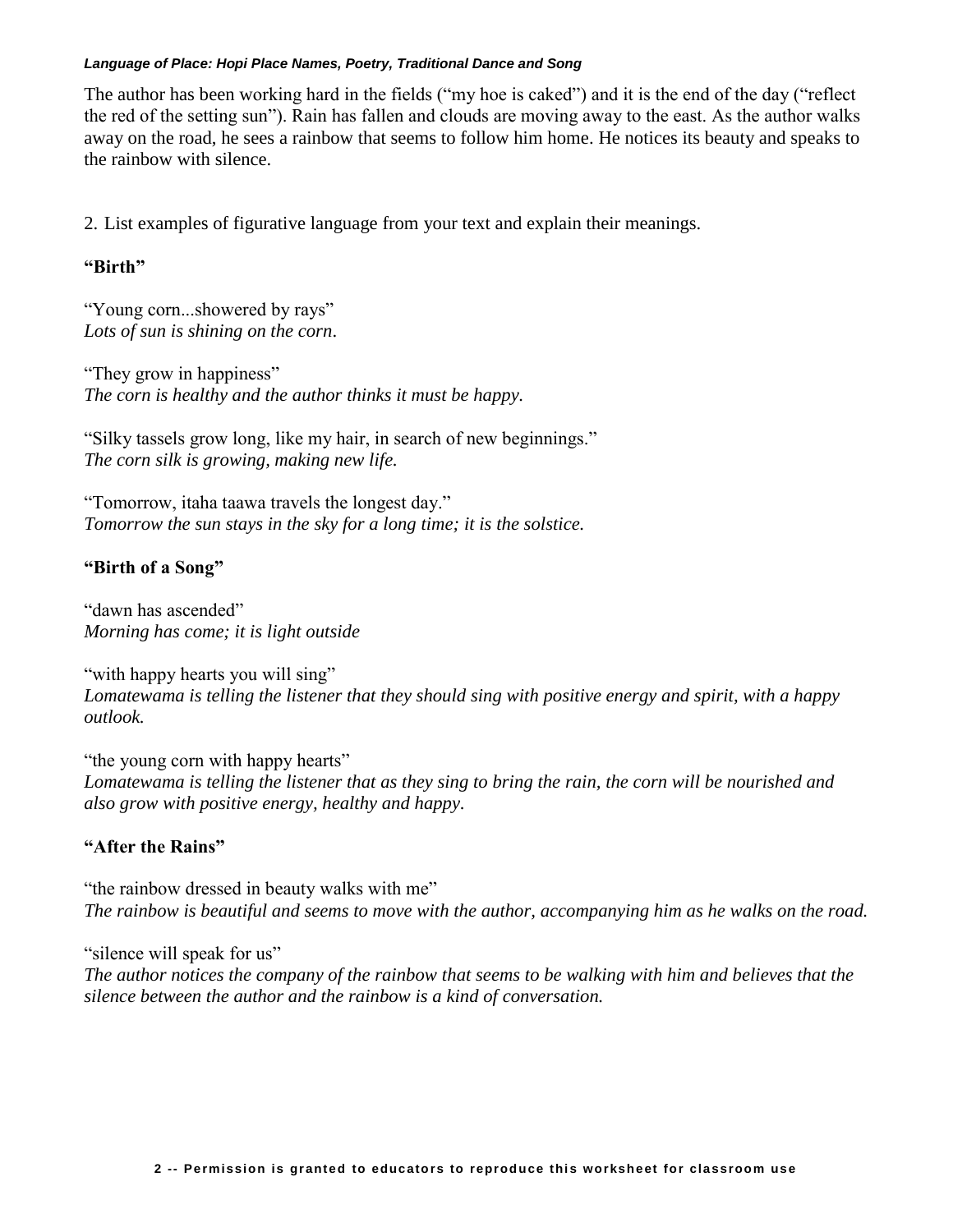#### *Language of Place: Hopi Place Names, Poetry, Traditional Dance and Song*

The author has been working hard in the fields ("my hoe is caked") and it is the end of the day ("reflect the red of the setting sun"). Rain has fallen and clouds are moving away to the east. As the author walks away on the road, he sees a rainbow that seems to follow him home. He notices its beauty and speaks to the rainbow with silence.

2. List examples of figurative language from your text and explain their meanings.

## **"Birth"**

"Young corn...showered by rays" *Lots of sun is shining on the corn*.

"They grow in happiness" *The corn is healthy and the author thinks it must be happy.*

"Silky tassels grow long, like my hair, in search of new beginnings." *The corn silk is growing, making new life.*

"Tomorrow, itaha taawa travels the longest day." *Tomorrow the sun stays in the sky for a long time; it is the solstice.*

# **"Birth of a Song"**

"dawn has ascended" *Morning has come; it is light outside*

"with happy hearts you will sing" *Lomatewama is telling the listener that they should sing with positive energy and spirit, with a happy outlook.*

"the young corn with happy hearts" *Lomatewama is telling the listener that as they sing to bring the rain, the corn will be nourished and also grow with positive energy, healthy and happy.* 

# **"After the Rains"**

"the rainbow dressed in beauty walks with me" *The rainbow is beautiful and seems to move with the author, accompanying him as he walks on the road.*

"silence will speak for us"

*The author notices the company of the rainbow that seems to be walking with him and believes that the silence between the author and the rainbow is a kind of conversation.*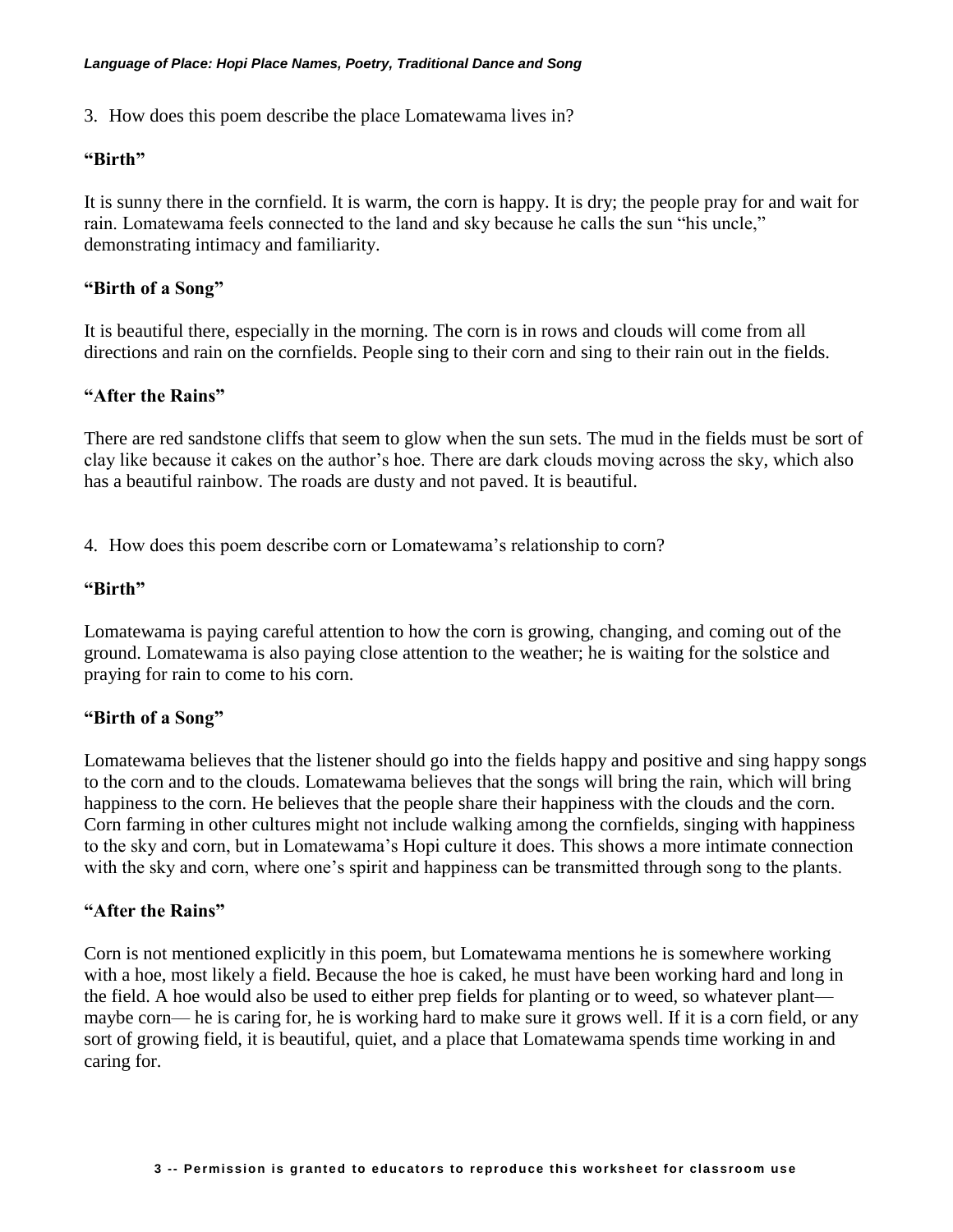3. How does this poem describe the place Lomatewama lives in?

#### **"Birth"**

It is sunny there in the cornfield. It is warm, the corn is happy. It is dry; the people pray for and wait for rain. Lomatewama feels connected to the land and sky because he calls the sun "his uncle," demonstrating intimacy and familiarity.

#### **"Birth of a Song"**

It is beautiful there, especially in the morning. The corn is in rows and clouds will come from all directions and rain on the cornfields. People sing to their corn and sing to their rain out in the fields.

#### **"After the Rains"**

There are red sandstone cliffs that seem to glow when the sun sets. The mud in the fields must be sort of clay like because it cakes on the author's hoe. There are dark clouds moving across the sky, which also has a beautiful rainbow. The roads are dusty and not paved. It is beautiful.

4. How does this poem describe corn or Lomatewama's relationship to corn?

#### **"Birth"**

Lomatewama is paying careful attention to how the corn is growing, changing, and coming out of the ground. Lomatewama is also paying close attention to the weather; he is waiting for the solstice and praying for rain to come to his corn.

## **"Birth of a Song"**

Lomatewama believes that the listener should go into the fields happy and positive and sing happy songs to the corn and to the clouds. Lomatewama believes that the songs will bring the rain, which will bring happiness to the corn. He believes that the people share their happiness with the clouds and the corn. Corn farming in other cultures might not include walking among the cornfields, singing with happiness to the sky and corn, but in Lomatewama's Hopi culture it does. This shows a more intimate connection with the sky and corn, where one's spirit and happiness can be transmitted through song to the plants.

#### **"After the Rains"**

Corn is not mentioned explicitly in this poem, but Lomatewama mentions he is somewhere working with a hoe, most likely a field. Because the hoe is caked, he must have been working hard and long in the field. A hoe would also be used to either prep fields for planting or to weed, so whatever plant maybe corn— he is caring for, he is working hard to make sure it grows well. If it is a corn field, or any sort of growing field, it is beautiful, quiet, and a place that Lomatewama spends time working in and caring for.